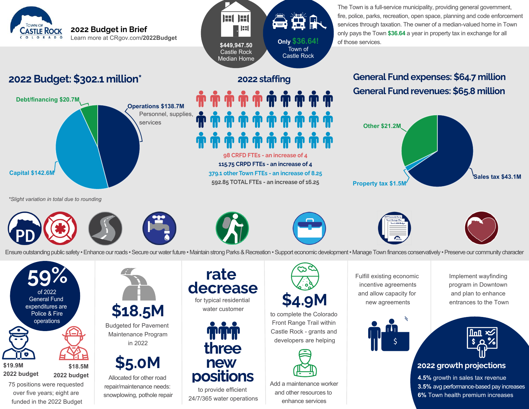The Town is a full-service municipality, providing general government, fire, police, parks, recreation, open space, planning and code enforcement services through taxation. The owner of a median-valued home in Town only pays the Town **\$36.64** a year in property tax in exchange for all of those services. **Only \$36.64!** Town of

# **General Fund expenses: \$64.7 million General Fund revenues: \$65.8 million**



*\*Slight variation in total due to rounding*

**Debt/financing \$20.7M**

**CASTLE ROCK** COLORADO

**Capital \$142.6M**



**2022 Budget: \$302.1 million\***

**2022 Budget in Brief**

Learn more at CRgov.com**/2022Budget**

**Operations \$138.7M**

services

Personnel, supplies,









Ensure outstanding public safety • Enhance our roads • Secure our water future • Maintain strong Parks & Recreation • Support economic development • Manage Town finances conservatively • Preserve our community character

**98 CRFD FTEs - an increase of 4 115.75 CRPD FTEs - an increase of 4 379.1 other Town FTEs - an increase of 8.25 592.85 TOTAL FTEs - an increase of 16.25**

**2022 staffing**

Castle Rock

**\$449,947.50** Castle Rock Median Home

**Inf Inf H** 



75 positions were requested over five years; eight are funded in the 2022 Budget



Budgeted for Pavement Maintenance Program in 2022

**\$5.0M**

Allocated for other road repair/maintenance needs: snowplowing, pothole repair



for typical residential water customer



to provide efficient 24/7/365 water operations



to complete the Colorado Front Range Trail within Castle Rock - grants and developers are helping



Add a maintenance worker and other resources to enhance services

Fulfill existing economic incentive agreements and allow capacity for new agreements



Implement wayfinding program in Downtown and plan to enhance entrances to the Town



## **2022 growth projections**

**4.5%** growth in sales tax revenue **3.5%** avg performance-based pay increases **6%** Town health premium increases